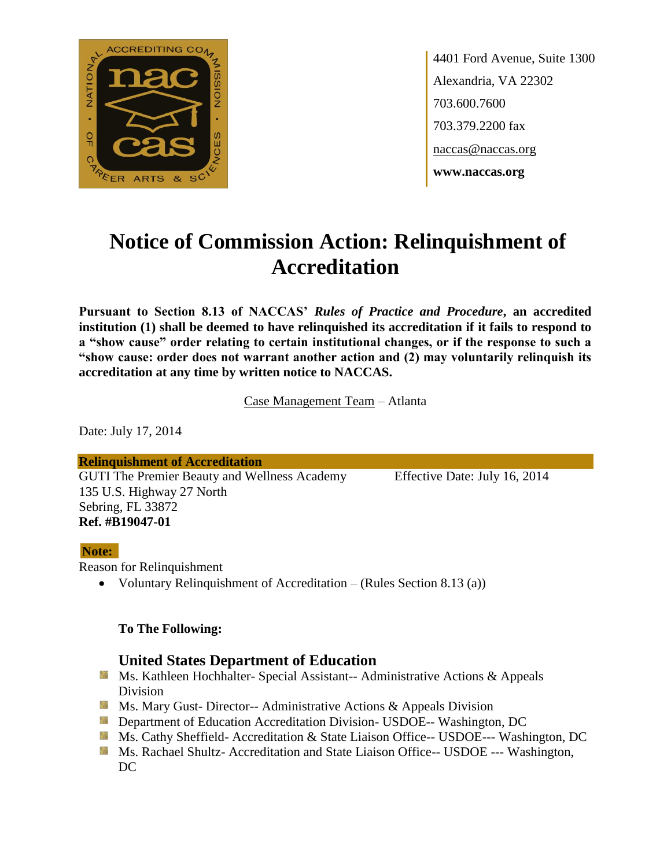

4401 Ford Avenue, Suite 1300 Alexandria, VA 22302 703.600.7600 703.379.2200 fax naccas@naccas.org **www.naccas.org**

# **Notice of Commission Action: Relinquishment of Accreditation**

**Pursuant to Section 8.13 of NACCAS'** *Rules of Practice and Procedure***, an accredited institution (1) shall be deemed to have relinquished its accreditation if it fails to respond to a "show cause" order relating to certain institutional changes, or if the response to such a "show cause: order does not warrant another action and (2) may voluntarily relinquish its accreditation at any time by written notice to NACCAS.**

Case Management Team – Atlanta

Date: July 17, 2014

**Relinquishment of Accreditation** GUTI The Premier Beauty and Wellness Academy Effective Date: July 16, 2014 135 U.S. Highway 27 North Sebring, FL 33872 **Ref. #B19047-01**

#### **Note:**

Reason for Relinquishment

Voluntary Relinquishment of Accreditation – (Rules Section 8.13 (a))

#### **To The Following:**

#### **United States Department of Education**

- **Ms. Kathleen Hochhalter- Special Assistant-- Administrative Actions & Appeals** Division
- **Ms. Mary Gust- Director-- Administrative Actions & Appeals Division**
- **Department of Education Accreditation Division- USDOE-- Washington, DC**
- Ms. Cathy Sheffield- Accreditation & State Liaison Office-- USDOE--- Washington, DC
- **MS. Rachael Shultz- Accreditation and State Liaison Office-- USDOE --- Washington,** DC